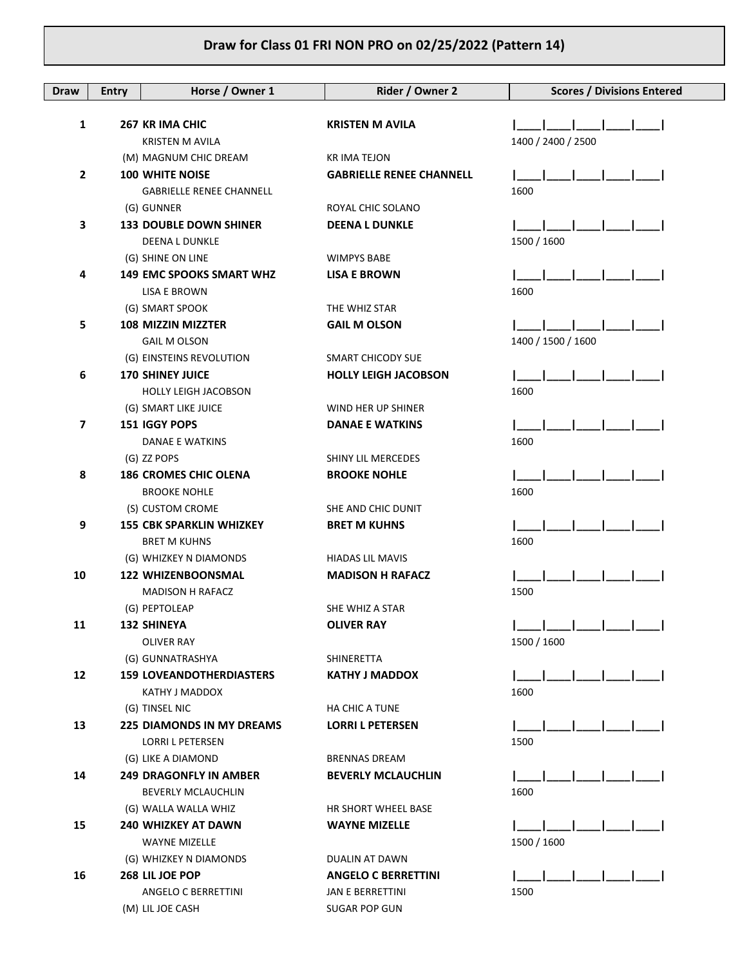| <b>Draw</b>    | <b>Entry</b> | Horse / Owner 1                 | Rider / Owner 2                 | <b>Scores / Divisions Entered</b> |
|----------------|--------------|---------------------------------|---------------------------------|-----------------------------------|
|                |              |                                 |                                 |                                   |
| $\mathbf{1}$   |              | 267 KR IMA CHIC                 | <b>KRISTEN M AVILA</b>          |                                   |
|                |              | KRISTEN M AVILA                 |                                 | 1400 / 2400 / 2500                |
|                |              | (M) MAGNUM CHIC DREAM           | KR IMA TEJON                    |                                   |
| $\overline{2}$ |              | <b>100 WHITE NOISE</b>          | <b>GABRIELLE RENEE CHANNELL</b> |                                   |
|                |              | <b>GABRIELLE RENEE CHANNELL</b> |                                 | 1600                              |
|                |              | (G) GUNNER                      | ROYAL CHIC SOLANO               |                                   |
| 3              |              | <b>133 DOUBLE DOWN SHINER</b>   | <b>DEENA L DUNKLE</b>           |                                   |
|                |              | <b>DEENA L DUNKLE</b>           |                                 | 1500 / 1600                       |
|                |              | (G) SHINE ON LINE               | <b>WIMPYS BABE</b>              |                                   |
| 4              |              | <b>149 EMC SPOOKS SMART WHZ</b> | <b>LISA E BROWN</b>             |                                   |
|                |              | LISA E BROWN                    |                                 | 1600                              |
|                |              | (G) SMART SPOOK                 | THE WHIZ STAR                   |                                   |
| 5              |              | 108 MIZZIN MIZZTER              | <b>GAIL M OLSON</b>             |                                   |
|                |              | <b>GAIL M OLSON</b>             |                                 | 1400 / 1500 / 1600                |
|                |              | (G) EINSTEINS REVOLUTION        | SMART CHICODY SUE               |                                   |
| 6              |              | <b>170 SHINEY JUICE</b>         | <b>HOLLY LEIGH JACOBSON</b>     |                                   |
|                |              | <b>HOLLY LEIGH JACOBSON</b>     |                                 | 1600                              |
|                |              | (G) SMART LIKE JUICE            | WIND HER UP SHINER              |                                   |
| 7              |              | 151 IGGY POPS                   | <b>DANAE E WATKINS</b>          | 1600                              |
|                |              | DANAE E WATKINS<br>(G) ZZ POPS  | SHINY LIL MERCEDES              |                                   |
| 8              |              | <b>186 CROMES CHIC OLENA</b>    | <b>BROOKE NOHLE</b>             |                                   |
|                |              | <b>BROOKE NOHLE</b>             |                                 | 1600                              |
|                |              | (S) CUSTOM CROME                | SHE AND CHIC DUNIT              |                                   |
| 9              |              | <b>155 CBK SPARKLIN WHIZKEY</b> | <b>BRET M KUHNS</b>             |                                   |
|                |              | <b>BRET M KUHNS</b>             |                                 | 1600                              |
|                |              | (G) WHIZKEY N DIAMONDS          | <b>HIADAS LIL MAVIS</b>         |                                   |
| 10             |              | <b>122 WHIZENBOONSMAL</b>       | <b>MADISON H RAFACZ</b>         |                                   |
|                |              | <b>MADISON H RAFACZ</b>         |                                 | 1500                              |
|                |              | (G) PEPTOLEAP                   | SHE WHIZ A STAR                 |                                   |
| 11             |              | 132 SHINEYA                     | <b>OLIVER RAY</b>               |                                   |
|                |              | OLIVER RAY                      |                                 | 1500 / 1600                       |
|                |              | (G) GUNNATRASHYA                | SHINERETTA                      |                                   |
| 12             |              | <b>159 LOVEANDOTHERDIASTERS</b> | <b>KATHY J MADDOX</b>           |                                   |
|                |              | KATHY J MADDOX                  |                                 | 1600                              |
|                |              | (G) TINSEL NIC                  | HA CHIC A TUNE                  |                                   |
| 13             |              | 225 DIAMONDS IN MY DREAMS       | <b>LORRI L PETERSEN</b>         |                                   |
|                |              | LORRI L PETERSEN                |                                 | 1500                              |
|                |              | (G) LIKE A DIAMOND              | <b>BRENNAS DREAM</b>            |                                   |
| 14             |              | <b>249 DRAGONFLY IN AMBER</b>   | <b>BEVERLY MCLAUCHLIN</b>       |                                   |
|                |              | <b>BEVERLY MCLAUCHLIN</b>       |                                 | 1600                              |
|                |              | (G) WALLA WALLA WHIZ            | HR SHORT WHEEL BASE             |                                   |
| 15             |              | <b>240 WHIZKEY AT DAWN</b>      | <b>WAYNE MIZELLE</b>            |                                   |
|                |              | <b>WAYNE MIZELLE</b>            |                                 | 1500 / 1600                       |
|                |              | (G) WHIZKEY N DIAMONDS          | DUALIN AT DAWN                  |                                   |
| 16             |              | 268 LIL JOE POP                 | <b>ANGELO C BERRETTINI</b>      |                                   |
|                |              | ANGELO C BERRETTINI             | JAN E BERRETTINI                | 1500                              |
|                |              | (M) LIL JOE CASH                | SUGAR POP GUN                   |                                   |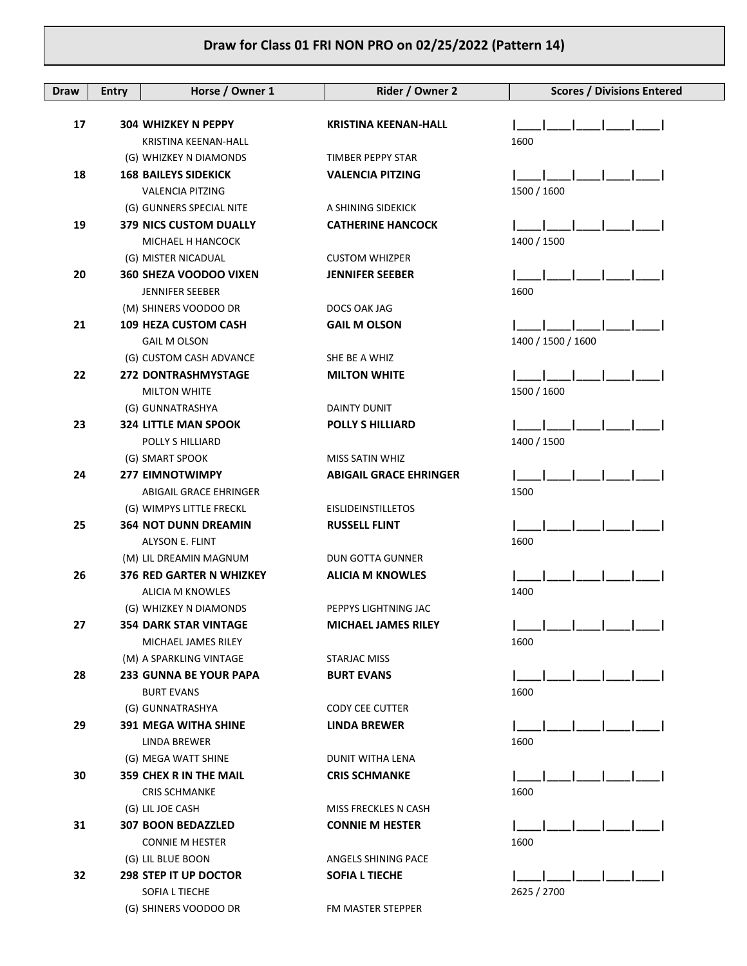| 17<br><b>304 WHIZKEY N PEPPY</b><br><b>KRISTINA KEENAN-HALL</b><br>1600<br><b>KRISTINA KEENAN-HALL</b><br>(G) WHIZKEY N DIAMONDS<br>TIMBER PEPPY STAR<br>18<br><b>168 BAILEYS SIDEKICK</b><br><b>VALENCIA PITZING</b><br>1500 / 1600<br><b>VALENCIA PITZING</b><br>(G) GUNNERS SPECIAL NITE<br>A SHINING SIDEKICK<br>19<br><b>379 NICS CUSTOM DUALLY</b><br><b>CATHERINE HANCOCK</b><br>1400 / 1500<br>MICHAEL H HANCOCK<br><b>CUSTOM WHIZPER</b><br>(G) MISTER NICADUAL<br>20<br><b>360 SHEZA VOODOO VIXEN</b><br><b>JENNIFER SEEBER</b><br>1600<br><b>JENNIFER SEEBER</b><br>(M) SHINERS VOODOO DR<br>DOCS OAK JAG<br>21<br><b>109 HEZA CUSTOM CASH</b><br><b>GAIL M OLSON</b><br>1400 / 1500 / 1600<br><b>GAIL M OLSON</b><br>(G) CUSTOM CASH ADVANCE<br>SHE BE A WHIZ<br>22<br>272 DONTRASHMYSTAGE<br><b>MILTON WHITE</b><br>1500 / 1600<br><b>MILTON WHITE</b><br>(G) GUNNATRASHYA<br>DAINTY DUNIT<br>23<br><b>324 LITTLE MAN SPOOK</b><br><b>POLLY S HILLIARD</b><br>1400 / 1500<br>POLLY S HILLIARD<br>(G) SMART SPOOK<br><b>MISS SATIN WHIZ</b><br>24<br><b>277 EIMNOTWIMPY</b><br><b>ABIGAIL GRACE EHRINGER</b><br>1500<br>ABIGAIL GRACE EHRINGER<br>(G) WIMPYS LITTLE FRECKL<br><b>EISLIDEINSTILLETOS</b><br>25<br><b>364 NOT DUNN DREAMIN</b><br><b>RUSSELL FLINT</b><br>1600<br>ALYSON E. FLINT<br>(M) LIL DREAMIN MAGNUM<br><b>DUN GOTTA GUNNER</b><br>26<br><b>376 RED GARTER N WHIZKEY</b><br><b>ALICIA M KNOWLES</b><br><b>ALICIA M KNOWLES</b><br>1400<br>(G) WHIZKEY N DIAMONDS<br>PEPPYS LIGHTNING JAC<br>1 1 1 1 1<br>27<br><b>354 DARK STAR VINTAGE</b><br>MICHAEL JAMES RILEY<br>1600<br>MICHAEL JAMES RILEY<br>(M) A SPARKLING VINTAGE<br>STARJAC MISS<br>28<br>233 GUNNA BE YOUR PAPA<br><b>BURT EVANS</b><br>1600<br><b>BURT EVANS</b><br>(G) GUNNATRASHYA<br><b>CODY CEE CUTTER</b><br>29<br><b>391 MEGA WITHA SHINE</b><br><b>LINDA BREWER</b><br>LINDA BREWER<br>1600<br>(G) MEGA WATT SHINE<br>DUNIT WITHA LENA<br>30<br><b>359 CHEX R IN THE MAIL</b><br><b>CRIS SCHMANKE</b><br>1600<br><b>CRIS SCHMANKE</b><br>(G) LIL JOE CASH<br>MISS FRECKLES N CASH<br>31<br><b>307 BOON BEDAZZLED</b><br><b>CONNIE M HESTER</b><br><b>CONNIE M HESTER</b><br>1600<br>(G) LIL BLUE BOON<br>ANGELS SHINING PACE<br>32<br><b>298 STEP IT UP DOCTOR</b><br><b>SOFIA L TIECHE</b><br>2625 / 2700<br>SOFIA L TIECHE | Draw | <b>Entry</b> | Horse / Owner 1       | Rider / Owner 2   | <b>Scores / Divisions Entered</b> |
|------------------------------------------------------------------------------------------------------------------------------------------------------------------------------------------------------------------------------------------------------------------------------------------------------------------------------------------------------------------------------------------------------------------------------------------------------------------------------------------------------------------------------------------------------------------------------------------------------------------------------------------------------------------------------------------------------------------------------------------------------------------------------------------------------------------------------------------------------------------------------------------------------------------------------------------------------------------------------------------------------------------------------------------------------------------------------------------------------------------------------------------------------------------------------------------------------------------------------------------------------------------------------------------------------------------------------------------------------------------------------------------------------------------------------------------------------------------------------------------------------------------------------------------------------------------------------------------------------------------------------------------------------------------------------------------------------------------------------------------------------------------------------------------------------------------------------------------------------------------------------------------------------------------------------------------------------------------------------------------------------------------------------------------------------------------------------------------------------------------------------------------------------------------------------------------------------------------------------------------------------------------------------------------------------------------------------------|------|--------------|-----------------------|-------------------|-----------------------------------|
|                                                                                                                                                                                                                                                                                                                                                                                                                                                                                                                                                                                                                                                                                                                                                                                                                                                                                                                                                                                                                                                                                                                                                                                                                                                                                                                                                                                                                                                                                                                                                                                                                                                                                                                                                                                                                                                                                                                                                                                                                                                                                                                                                                                                                                                                                                                                    |      |              |                       |                   |                                   |
|                                                                                                                                                                                                                                                                                                                                                                                                                                                                                                                                                                                                                                                                                                                                                                                                                                                                                                                                                                                                                                                                                                                                                                                                                                                                                                                                                                                                                                                                                                                                                                                                                                                                                                                                                                                                                                                                                                                                                                                                                                                                                                                                                                                                                                                                                                                                    |      |              |                       |                   |                                   |
|                                                                                                                                                                                                                                                                                                                                                                                                                                                                                                                                                                                                                                                                                                                                                                                                                                                                                                                                                                                                                                                                                                                                                                                                                                                                                                                                                                                                                                                                                                                                                                                                                                                                                                                                                                                                                                                                                                                                                                                                                                                                                                                                                                                                                                                                                                                                    |      |              |                       |                   |                                   |
|                                                                                                                                                                                                                                                                                                                                                                                                                                                                                                                                                                                                                                                                                                                                                                                                                                                                                                                                                                                                                                                                                                                                                                                                                                                                                                                                                                                                                                                                                                                                                                                                                                                                                                                                                                                                                                                                                                                                                                                                                                                                                                                                                                                                                                                                                                                                    |      |              |                       |                   |                                   |
|                                                                                                                                                                                                                                                                                                                                                                                                                                                                                                                                                                                                                                                                                                                                                                                                                                                                                                                                                                                                                                                                                                                                                                                                                                                                                                                                                                                                                                                                                                                                                                                                                                                                                                                                                                                                                                                                                                                                                                                                                                                                                                                                                                                                                                                                                                                                    |      |              |                       |                   |                                   |
|                                                                                                                                                                                                                                                                                                                                                                                                                                                                                                                                                                                                                                                                                                                                                                                                                                                                                                                                                                                                                                                                                                                                                                                                                                                                                                                                                                                                                                                                                                                                                                                                                                                                                                                                                                                                                                                                                                                                                                                                                                                                                                                                                                                                                                                                                                                                    |      |              |                       |                   |                                   |
|                                                                                                                                                                                                                                                                                                                                                                                                                                                                                                                                                                                                                                                                                                                                                                                                                                                                                                                                                                                                                                                                                                                                                                                                                                                                                                                                                                                                                                                                                                                                                                                                                                                                                                                                                                                                                                                                                                                                                                                                                                                                                                                                                                                                                                                                                                                                    |      |              |                       |                   |                                   |
|                                                                                                                                                                                                                                                                                                                                                                                                                                                                                                                                                                                                                                                                                                                                                                                                                                                                                                                                                                                                                                                                                                                                                                                                                                                                                                                                                                                                                                                                                                                                                                                                                                                                                                                                                                                                                                                                                                                                                                                                                                                                                                                                                                                                                                                                                                                                    |      |              |                       |                   |                                   |
|                                                                                                                                                                                                                                                                                                                                                                                                                                                                                                                                                                                                                                                                                                                                                                                                                                                                                                                                                                                                                                                                                                                                                                                                                                                                                                                                                                                                                                                                                                                                                                                                                                                                                                                                                                                                                                                                                                                                                                                                                                                                                                                                                                                                                                                                                                                                    |      |              |                       |                   |                                   |
|                                                                                                                                                                                                                                                                                                                                                                                                                                                                                                                                                                                                                                                                                                                                                                                                                                                                                                                                                                                                                                                                                                                                                                                                                                                                                                                                                                                                                                                                                                                                                                                                                                                                                                                                                                                                                                                                                                                                                                                                                                                                                                                                                                                                                                                                                                                                    |      |              |                       |                   |                                   |
|                                                                                                                                                                                                                                                                                                                                                                                                                                                                                                                                                                                                                                                                                                                                                                                                                                                                                                                                                                                                                                                                                                                                                                                                                                                                                                                                                                                                                                                                                                                                                                                                                                                                                                                                                                                                                                                                                                                                                                                                                                                                                                                                                                                                                                                                                                                                    |      |              |                       |                   |                                   |
|                                                                                                                                                                                                                                                                                                                                                                                                                                                                                                                                                                                                                                                                                                                                                                                                                                                                                                                                                                                                                                                                                                                                                                                                                                                                                                                                                                                                                                                                                                                                                                                                                                                                                                                                                                                                                                                                                                                                                                                                                                                                                                                                                                                                                                                                                                                                    |      |              |                       |                   |                                   |
|                                                                                                                                                                                                                                                                                                                                                                                                                                                                                                                                                                                                                                                                                                                                                                                                                                                                                                                                                                                                                                                                                                                                                                                                                                                                                                                                                                                                                                                                                                                                                                                                                                                                                                                                                                                                                                                                                                                                                                                                                                                                                                                                                                                                                                                                                                                                    |      |              |                       |                   |                                   |
|                                                                                                                                                                                                                                                                                                                                                                                                                                                                                                                                                                                                                                                                                                                                                                                                                                                                                                                                                                                                                                                                                                                                                                                                                                                                                                                                                                                                                                                                                                                                                                                                                                                                                                                                                                                                                                                                                                                                                                                                                                                                                                                                                                                                                                                                                                                                    |      |              |                       |                   |                                   |
|                                                                                                                                                                                                                                                                                                                                                                                                                                                                                                                                                                                                                                                                                                                                                                                                                                                                                                                                                                                                                                                                                                                                                                                                                                                                                                                                                                                                                                                                                                                                                                                                                                                                                                                                                                                                                                                                                                                                                                                                                                                                                                                                                                                                                                                                                                                                    |      |              |                       |                   |                                   |
|                                                                                                                                                                                                                                                                                                                                                                                                                                                                                                                                                                                                                                                                                                                                                                                                                                                                                                                                                                                                                                                                                                                                                                                                                                                                                                                                                                                                                                                                                                                                                                                                                                                                                                                                                                                                                                                                                                                                                                                                                                                                                                                                                                                                                                                                                                                                    |      |              |                       |                   |                                   |
|                                                                                                                                                                                                                                                                                                                                                                                                                                                                                                                                                                                                                                                                                                                                                                                                                                                                                                                                                                                                                                                                                                                                                                                                                                                                                                                                                                                                                                                                                                                                                                                                                                                                                                                                                                                                                                                                                                                                                                                                                                                                                                                                                                                                                                                                                                                                    |      |              |                       |                   |                                   |
|                                                                                                                                                                                                                                                                                                                                                                                                                                                                                                                                                                                                                                                                                                                                                                                                                                                                                                                                                                                                                                                                                                                                                                                                                                                                                                                                                                                                                                                                                                                                                                                                                                                                                                                                                                                                                                                                                                                                                                                                                                                                                                                                                                                                                                                                                                                                    |      |              |                       |                   |                                   |
|                                                                                                                                                                                                                                                                                                                                                                                                                                                                                                                                                                                                                                                                                                                                                                                                                                                                                                                                                                                                                                                                                                                                                                                                                                                                                                                                                                                                                                                                                                                                                                                                                                                                                                                                                                                                                                                                                                                                                                                                                                                                                                                                                                                                                                                                                                                                    |      |              |                       |                   |                                   |
|                                                                                                                                                                                                                                                                                                                                                                                                                                                                                                                                                                                                                                                                                                                                                                                                                                                                                                                                                                                                                                                                                                                                                                                                                                                                                                                                                                                                                                                                                                                                                                                                                                                                                                                                                                                                                                                                                                                                                                                                                                                                                                                                                                                                                                                                                                                                    |      |              |                       |                   |                                   |
|                                                                                                                                                                                                                                                                                                                                                                                                                                                                                                                                                                                                                                                                                                                                                                                                                                                                                                                                                                                                                                                                                                                                                                                                                                                                                                                                                                                                                                                                                                                                                                                                                                                                                                                                                                                                                                                                                                                                                                                                                                                                                                                                                                                                                                                                                                                                    |      |              |                       |                   |                                   |
|                                                                                                                                                                                                                                                                                                                                                                                                                                                                                                                                                                                                                                                                                                                                                                                                                                                                                                                                                                                                                                                                                                                                                                                                                                                                                                                                                                                                                                                                                                                                                                                                                                                                                                                                                                                                                                                                                                                                                                                                                                                                                                                                                                                                                                                                                                                                    |      |              |                       |                   |                                   |
|                                                                                                                                                                                                                                                                                                                                                                                                                                                                                                                                                                                                                                                                                                                                                                                                                                                                                                                                                                                                                                                                                                                                                                                                                                                                                                                                                                                                                                                                                                                                                                                                                                                                                                                                                                                                                                                                                                                                                                                                                                                                                                                                                                                                                                                                                                                                    |      |              |                       |                   |                                   |
|                                                                                                                                                                                                                                                                                                                                                                                                                                                                                                                                                                                                                                                                                                                                                                                                                                                                                                                                                                                                                                                                                                                                                                                                                                                                                                                                                                                                                                                                                                                                                                                                                                                                                                                                                                                                                                                                                                                                                                                                                                                                                                                                                                                                                                                                                                                                    |      |              |                       |                   |                                   |
|                                                                                                                                                                                                                                                                                                                                                                                                                                                                                                                                                                                                                                                                                                                                                                                                                                                                                                                                                                                                                                                                                                                                                                                                                                                                                                                                                                                                                                                                                                                                                                                                                                                                                                                                                                                                                                                                                                                                                                                                                                                                                                                                                                                                                                                                                                                                    |      |              |                       |                   |                                   |
|                                                                                                                                                                                                                                                                                                                                                                                                                                                                                                                                                                                                                                                                                                                                                                                                                                                                                                                                                                                                                                                                                                                                                                                                                                                                                                                                                                                                                                                                                                                                                                                                                                                                                                                                                                                                                                                                                                                                                                                                                                                                                                                                                                                                                                                                                                                                    |      |              |                       |                   |                                   |
|                                                                                                                                                                                                                                                                                                                                                                                                                                                                                                                                                                                                                                                                                                                                                                                                                                                                                                                                                                                                                                                                                                                                                                                                                                                                                                                                                                                                                                                                                                                                                                                                                                                                                                                                                                                                                                                                                                                                                                                                                                                                                                                                                                                                                                                                                                                                    |      |              |                       |                   |                                   |
|                                                                                                                                                                                                                                                                                                                                                                                                                                                                                                                                                                                                                                                                                                                                                                                                                                                                                                                                                                                                                                                                                                                                                                                                                                                                                                                                                                                                                                                                                                                                                                                                                                                                                                                                                                                                                                                                                                                                                                                                                                                                                                                                                                                                                                                                                                                                    |      |              |                       |                   |                                   |
|                                                                                                                                                                                                                                                                                                                                                                                                                                                                                                                                                                                                                                                                                                                                                                                                                                                                                                                                                                                                                                                                                                                                                                                                                                                                                                                                                                                                                                                                                                                                                                                                                                                                                                                                                                                                                                                                                                                                                                                                                                                                                                                                                                                                                                                                                                                                    |      |              |                       |                   |                                   |
|                                                                                                                                                                                                                                                                                                                                                                                                                                                                                                                                                                                                                                                                                                                                                                                                                                                                                                                                                                                                                                                                                                                                                                                                                                                                                                                                                                                                                                                                                                                                                                                                                                                                                                                                                                                                                                                                                                                                                                                                                                                                                                                                                                                                                                                                                                                                    |      |              |                       |                   |                                   |
|                                                                                                                                                                                                                                                                                                                                                                                                                                                                                                                                                                                                                                                                                                                                                                                                                                                                                                                                                                                                                                                                                                                                                                                                                                                                                                                                                                                                                                                                                                                                                                                                                                                                                                                                                                                                                                                                                                                                                                                                                                                                                                                                                                                                                                                                                                                                    |      |              |                       |                   |                                   |
|                                                                                                                                                                                                                                                                                                                                                                                                                                                                                                                                                                                                                                                                                                                                                                                                                                                                                                                                                                                                                                                                                                                                                                                                                                                                                                                                                                                                                                                                                                                                                                                                                                                                                                                                                                                                                                                                                                                                                                                                                                                                                                                                                                                                                                                                                                                                    |      |              |                       |                   |                                   |
|                                                                                                                                                                                                                                                                                                                                                                                                                                                                                                                                                                                                                                                                                                                                                                                                                                                                                                                                                                                                                                                                                                                                                                                                                                                                                                                                                                                                                                                                                                                                                                                                                                                                                                                                                                                                                                                                                                                                                                                                                                                                                                                                                                                                                                                                                                                                    |      |              |                       |                   |                                   |
|                                                                                                                                                                                                                                                                                                                                                                                                                                                                                                                                                                                                                                                                                                                                                                                                                                                                                                                                                                                                                                                                                                                                                                                                                                                                                                                                                                                                                                                                                                                                                                                                                                                                                                                                                                                                                                                                                                                                                                                                                                                                                                                                                                                                                                                                                                                                    |      |              |                       |                   |                                   |
|                                                                                                                                                                                                                                                                                                                                                                                                                                                                                                                                                                                                                                                                                                                                                                                                                                                                                                                                                                                                                                                                                                                                                                                                                                                                                                                                                                                                                                                                                                                                                                                                                                                                                                                                                                                                                                                                                                                                                                                                                                                                                                                                                                                                                                                                                                                                    |      |              |                       |                   |                                   |
|                                                                                                                                                                                                                                                                                                                                                                                                                                                                                                                                                                                                                                                                                                                                                                                                                                                                                                                                                                                                                                                                                                                                                                                                                                                                                                                                                                                                                                                                                                                                                                                                                                                                                                                                                                                                                                                                                                                                                                                                                                                                                                                                                                                                                                                                                                                                    |      |              |                       |                   |                                   |
|                                                                                                                                                                                                                                                                                                                                                                                                                                                                                                                                                                                                                                                                                                                                                                                                                                                                                                                                                                                                                                                                                                                                                                                                                                                                                                                                                                                                                                                                                                                                                                                                                                                                                                                                                                                                                                                                                                                                                                                                                                                                                                                                                                                                                                                                                                                                    |      |              |                       |                   |                                   |
|                                                                                                                                                                                                                                                                                                                                                                                                                                                                                                                                                                                                                                                                                                                                                                                                                                                                                                                                                                                                                                                                                                                                                                                                                                                                                                                                                                                                                                                                                                                                                                                                                                                                                                                                                                                                                                                                                                                                                                                                                                                                                                                                                                                                                                                                                                                                    |      |              |                       |                   |                                   |
|                                                                                                                                                                                                                                                                                                                                                                                                                                                                                                                                                                                                                                                                                                                                                                                                                                                                                                                                                                                                                                                                                                                                                                                                                                                                                                                                                                                                                                                                                                                                                                                                                                                                                                                                                                                                                                                                                                                                                                                                                                                                                                                                                                                                                                                                                                                                    |      |              |                       |                   |                                   |
|                                                                                                                                                                                                                                                                                                                                                                                                                                                                                                                                                                                                                                                                                                                                                                                                                                                                                                                                                                                                                                                                                                                                                                                                                                                                                                                                                                                                                                                                                                                                                                                                                                                                                                                                                                                                                                                                                                                                                                                                                                                                                                                                                                                                                                                                                                                                    |      |              |                       |                   |                                   |
|                                                                                                                                                                                                                                                                                                                                                                                                                                                                                                                                                                                                                                                                                                                                                                                                                                                                                                                                                                                                                                                                                                                                                                                                                                                                                                                                                                                                                                                                                                                                                                                                                                                                                                                                                                                                                                                                                                                                                                                                                                                                                                                                                                                                                                                                                                                                    |      |              |                       |                   |                                   |
|                                                                                                                                                                                                                                                                                                                                                                                                                                                                                                                                                                                                                                                                                                                                                                                                                                                                                                                                                                                                                                                                                                                                                                                                                                                                                                                                                                                                                                                                                                                                                                                                                                                                                                                                                                                                                                                                                                                                                                                                                                                                                                                                                                                                                                                                                                                                    |      |              |                       |                   |                                   |
|                                                                                                                                                                                                                                                                                                                                                                                                                                                                                                                                                                                                                                                                                                                                                                                                                                                                                                                                                                                                                                                                                                                                                                                                                                                                                                                                                                                                                                                                                                                                                                                                                                                                                                                                                                                                                                                                                                                                                                                                                                                                                                                                                                                                                                                                                                                                    |      |              |                       |                   |                                   |
|                                                                                                                                                                                                                                                                                                                                                                                                                                                                                                                                                                                                                                                                                                                                                                                                                                                                                                                                                                                                                                                                                                                                                                                                                                                                                                                                                                                                                                                                                                                                                                                                                                                                                                                                                                                                                                                                                                                                                                                                                                                                                                                                                                                                                                                                                                                                    |      |              |                       |                   |                                   |
|                                                                                                                                                                                                                                                                                                                                                                                                                                                                                                                                                                                                                                                                                                                                                                                                                                                                                                                                                                                                                                                                                                                                                                                                                                                                                                                                                                                                                                                                                                                                                                                                                                                                                                                                                                                                                                                                                                                                                                                                                                                                                                                                                                                                                                                                                                                                    |      |              |                       |                   |                                   |
|                                                                                                                                                                                                                                                                                                                                                                                                                                                                                                                                                                                                                                                                                                                                                                                                                                                                                                                                                                                                                                                                                                                                                                                                                                                                                                                                                                                                                                                                                                                                                                                                                                                                                                                                                                                                                                                                                                                                                                                                                                                                                                                                                                                                                                                                                                                                    |      |              |                       |                   |                                   |
|                                                                                                                                                                                                                                                                                                                                                                                                                                                                                                                                                                                                                                                                                                                                                                                                                                                                                                                                                                                                                                                                                                                                                                                                                                                                                                                                                                                                                                                                                                                                                                                                                                                                                                                                                                                                                                                                                                                                                                                                                                                                                                                                                                                                                                                                                                                                    |      |              | (G) SHINERS VOODOO DR | FM MASTER STEPPER |                                   |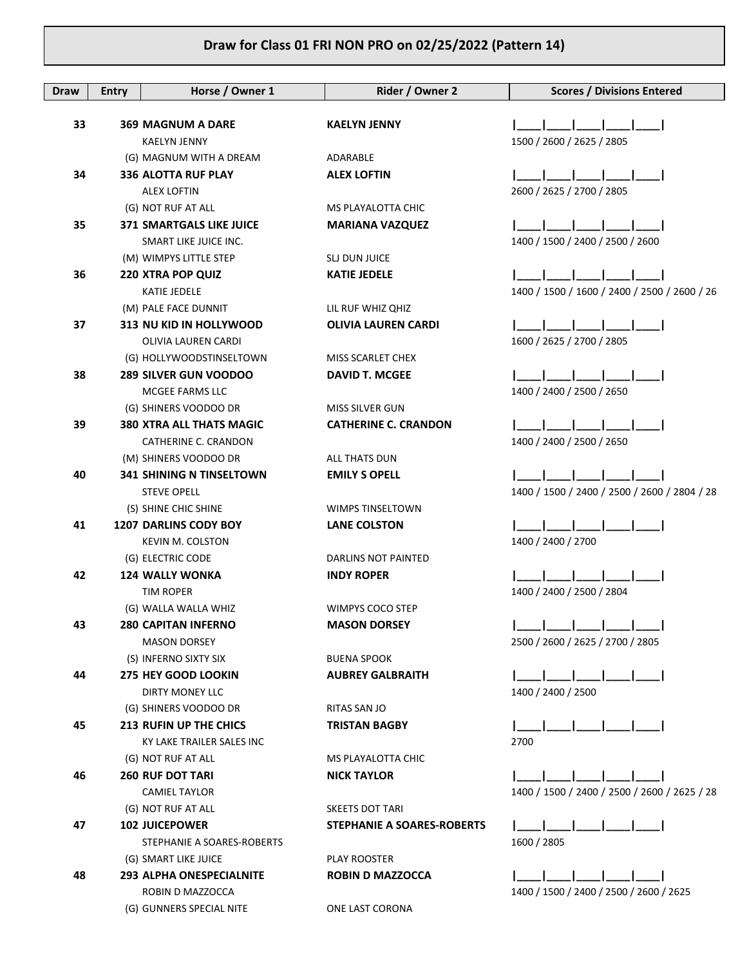| Draw | <b>Entry</b> | Horse / Owner 1                 | Rider / Owner 2                   | <b>Scores / Divisions Entered</b>            |
|------|--------------|---------------------------------|-----------------------------------|----------------------------------------------|
|      |              |                                 |                                   |                                              |
| 33   |              | <b>369 MAGNUM A DARE</b>        | <b>KAELYN JENNY</b>               |                                              |
|      |              | <b>KAELYN JENNY</b>             |                                   | 1500 / 2600 / 2625 / 2805                    |
|      |              | (G) MAGNUM WITH A DREAM         | ADARABLE                          |                                              |
| 34   |              | <b>336 ALOTTA RUF PLAY</b>      | <b>ALEX LOFTIN</b>                |                                              |
|      |              | <b>ALEX LOFTIN</b>              |                                   | 2600 / 2625 / 2700 / 2805                    |
|      |              | (G) NOT RUF AT ALL              | MS PLAYALOTTA CHIC                |                                              |
| 35   |              | 371 SMARTGALS LIKE JUICE        | <b>MARIANA VAZQUEZ</b>            |                                              |
|      |              | SMART LIKE JUICE INC.           |                                   | 1400 / 1500 / 2400 / 2500 / 2600             |
|      |              | (M) WIMPYS LITTLE STEP          | SLJ DUN JUICE                     |                                              |
| 36   |              | <b>220 XTRA POP QUIZ</b>        | <b>KATIE JEDELE</b>               |                                              |
|      |              | KATIE JEDELE                    |                                   | 1400 / 1500 / 1600 / 2400 / 2500 / 2600 / 26 |
|      |              | (M) PALE FACE DUNNIT            | LIL RUF WHIZ QHIZ                 |                                              |
| 37   |              | 313 NU KID IN HOLLYWOOD         | <b>OLIVIA LAUREN CARDI</b>        |                                              |
|      |              | OLIVIA LAUREN CARDI             |                                   | 1600 / 2625 / 2700 / 2805                    |
|      |              | (G) HOLLYWOODSTINSELTOWN        | MISS SCARLET CHEX                 |                                              |
| 38   |              | <b>289 SILVER GUN VOODOO</b>    | <b>DAVID T. MCGEE</b>             |                                              |
|      |              | MCGEE FARMS LLC                 |                                   | 1400 / 2400 / 2500 / 2650                    |
|      |              | (G) SHINERS VOODOO DR           | <b>MISS SILVER GUN</b>            |                                              |
| 39   |              | <b>380 XTRA ALL THATS MAGIC</b> | <b>CATHERINE C. CRANDON</b>       |                                              |
|      |              | CATHERINE C. CRANDON            |                                   | 1400 / 2400 / 2500 / 2650                    |
|      |              | (M) SHINERS VOODOO DR           | ALL THATS DUN                     |                                              |
| 40   |              | <b>341 SHINING N TINSELTOWN</b> | <b>EMILY S OPELL</b>              |                                              |
|      |              | <b>STEVE OPELL</b>              |                                   | 1400 / 1500 / 2400 / 2500 / 2600 / 2804 / 28 |
|      |              | (S) SHINE CHIC SHINE            | WIMPS TINSELTOWN                  |                                              |
| 41   |              | <b>1207 DARLINS CODY BOY</b>    | <b>LANE COLSTON</b>               |                                              |
|      |              | <b>KEVIN M. COLSTON</b>         |                                   | 1400 / 2400 / 2700                           |
|      |              | (G) ELECTRIC CODE               | DARLINS NOT PAINTED               |                                              |
| 42   |              | <b>124 WALLY WONKA</b>          | <b>INDY ROPER</b>                 |                                              |
|      |              | TIM ROPER                       |                                   | 1400 / 2400 / 2500 / 2804                    |
|      |              | (G) WALLA WALLA WHIZ            | WIMPYS COCO STEP                  |                                              |
| 43   |              | <b>280 CAPITAN INFERNO</b>      | <b>MASON DORSEY</b>               |                                              |
|      |              | <b>MASON DORSEY</b>             |                                   | 2500 / 2600 / 2625 / 2700 / 2805             |
|      |              | (S) INFERNO SIXTY SIX           | <b>BUENA SPOOK</b>                |                                              |
| 44   |              | 275 HEY GOOD LOOKIN             | <b>AUBREY GALBRAITH</b>           |                                              |
|      |              | DIRTY MONEY LLC                 |                                   | 1400 / 2400 / 2500                           |
|      |              | (G) SHINERS VOODOO DR           | RITAS SAN JO                      |                                              |
| 45   |              | <b>213 RUFIN UP THE CHICS</b>   | <b>TRISTAN BAGBY</b>              |                                              |
|      |              | KY LAKE TRAILER SALES INC       |                                   | 2700                                         |
|      |              | (G) NOT RUF AT ALL              | MS PLAYALOTTA CHIC                |                                              |
| 46   |              | <b>260 RUF DOT TARI</b>         | <b>NICK TAYLOR</b>                |                                              |
|      |              | <b>CAMIEL TAYLOR</b>            |                                   | 1400 / 1500 / 2400 / 2500 / 2600 / 2625 / 28 |
|      |              | (G) NOT RUF AT ALL              | <b>SKEETS DOT TARI</b>            |                                              |
| 47   |              | <b>102 JUICEPOWER</b>           | <b>STEPHANIE A SOARES-ROBERTS</b> |                                              |
|      |              | STEPHANIE A SOARES-ROBERTS      |                                   | 1600 / 2805                                  |
|      |              | (G) SMART LIKE JUICE            | PLAY ROOSTER                      |                                              |
| 48   |              | <b>293 ALPHA ONESPECIALNITE</b> | <b>ROBIN D MAZZOCCA</b>           |                                              |
|      |              | ROBIN D MAZZOCCA                |                                   | 1400 / 1500 / 2400 / 2500 / 2600 / 2625      |
|      |              | (G) GUNNERS SPECIAL NITE        | ONE LAST CORONA                   |                                              |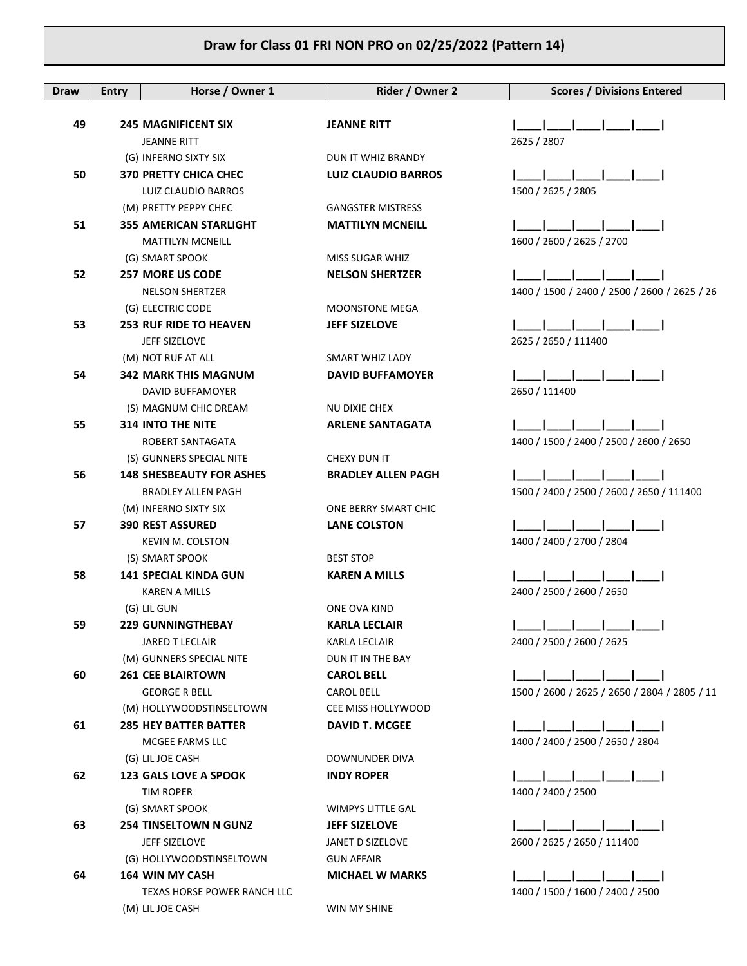| Draw | <b>Entry</b> | Horse / Owner 1                                  | Rider / Owner 2            | <b>Scores / Divisions Entered</b>            |
|------|--------------|--------------------------------------------------|----------------------------|----------------------------------------------|
|      |              |                                                  |                            |                                              |
| 49   |              | <b>245 MAGNIFICENT SIX</b><br><b>JEANNE RITT</b> | <b>JEANNE RITT</b>         | 2625 / 2807                                  |
|      |              | (G) INFERNO SIXTY SIX                            | DUN IT WHIZ BRANDY         |                                              |
| 50   |              | <b>370 PRETTY CHICA CHEC</b>                     | <b>LUIZ CLAUDIO BARROS</b> |                                              |
|      |              | LUIZ CLAUDIO BARROS                              |                            | 1500 / 2625 / 2805                           |
|      |              | (M) PRETTY PEPPY CHEC                            | <b>GANGSTER MISTRESS</b>   |                                              |
| 51   |              | <b>355 AMERICAN STARLIGHT</b>                    | <b>MATTILYN MCNEILL</b>    |                                              |
|      |              | <b>MATTILYN MCNEILL</b>                          |                            | 1600 / 2600 / 2625 / 2700                    |
|      |              | (G) SMART SPOOK                                  | MISS SUGAR WHIZ            |                                              |
| 52   |              | <b>257 MORE US CODE</b>                          | <b>NELSON SHERTZER</b>     |                                              |
|      |              | <b>NELSON SHERTZER</b>                           |                            | 1400 / 1500 / 2400 / 2500 / 2600 / 2625 / 26 |
|      |              | (G) ELECTRIC CODE                                | <b>MOONSTONE MEGA</b>      |                                              |
| 53   |              | <b>253 RUF RIDE TO HEAVEN</b>                    | <b>JEFF SIZELOVE</b>       |                                              |
|      |              | JEFF SIZELOVE                                    |                            | 2625 / 2650 / 111400                         |
|      |              | (M) NOT RUF AT ALL                               | SMART WHIZ LADY            |                                              |
| 54   |              | <b>342 MARK THIS MAGNUM</b>                      | <b>DAVID BUFFAMOYER</b>    |                                              |
|      |              | DAVID BUFFAMOYER                                 |                            | 2650 / 111400                                |
|      |              | (S) MAGNUM CHIC DREAM                            | NU DIXIE CHEX              |                                              |
| 55   |              | <b>314 INTO THE NITE</b>                         | <b>ARLENE SANTAGATA</b>    |                                              |
|      |              | ROBERT SANTAGATA                                 |                            | 1400 / 1500 / 2400 / 2500 / 2600 / 2650      |
|      |              | (S) GUNNERS SPECIAL NITE                         | CHEXY DUN IT               |                                              |
| 56   |              | <b>148 SHESBEAUTY FOR ASHES</b>                  | <b>BRADLEY ALLEN PAGH</b>  |                                              |
|      |              | <b>BRADLEY ALLEN PAGH</b>                        |                            | 1500 / 2400 / 2500 / 2600 / 2650 / 111400    |
|      |              | (M) INFERNO SIXTY SIX                            | ONE BERRY SMART CHIC       |                                              |
| 57   |              | <b>390 REST ASSURED</b>                          | <b>LANE COLSTON</b>        |                                              |
|      |              | KEVIN M. COLSTON                                 |                            | 1400 / 2400 / 2700 / 2804                    |
|      |              | (S) SMART SPOOK<br>141 SPECIAL KINDA GUN         | <b>BEST STOP</b>           |                                              |
| 58   |              | <b>KAREN A MILLS</b>                             | <b>KAREN A MILLS</b>       | 2400 / 2500 / 2600 / 2650                    |
|      |              | (G) LIL GUN                                      | ONE OVA KIND               |                                              |
| 59   |              | <b>229 GUNNINGTHEBAY</b>                         | <b>KARLA LECLAIR</b>       |                                              |
|      |              | <b>JARED T LECLAIR</b>                           | <b>KARLA LECLAIR</b>       | 2400 / 2500 / 2600 / 2625                    |
|      |              | (M) GUNNERS SPECIAL NITE                         | DUN IT IN THE BAY          |                                              |
| 60   |              | <b>261 CEE BLAIRTOWN</b>                         | <b>CAROL BELL</b>          |                                              |
|      |              | <b>GEORGE R BELL</b>                             | <b>CAROL BELL</b>          | 1500 / 2600 / 2625 / 2650 / 2804 / 2805 / 11 |
|      |              | (M) HOLLYWOODSTINSELTOWN                         | CEE MISS HOLLYWOOD         |                                              |
| 61   |              | <b>285 HEY BATTER BATTER</b>                     | <b>DAVID T. MCGEE</b>      |                                              |
|      |              | MCGEE FARMS LLC                                  |                            | 1400 / 2400 / 2500 / 2650 / 2804             |
|      |              | (G) LIL JOE CASH                                 | DOWNUNDER DIVA             |                                              |
| 62   |              | <b>123 GALS LOVE A SPOOK</b>                     | <b>INDY ROPER</b>          |                                              |
|      |              | TIM ROPER                                        |                            | 1400 / 2400 / 2500                           |
|      |              | (G) SMART SPOOK                                  | WIMPYS LITTLE GAL          |                                              |
| 63   |              | <b>254 TINSELTOWN N GUNZ</b>                     | <b>JEFF SIZELOVE</b>       |                                              |
|      |              | JEFF SIZELOVE                                    | JANET D SIZELOVE           | 2600 / 2625 / 2650 / 111400                  |
|      |              | (G) HOLLYWOODSTINSELTOWN                         | <b>GUN AFFAIR</b>          |                                              |
| 64   |              | <b>164 WIN MY CASH</b>                           | <b>MICHAEL W MARKS</b>     |                                              |
|      |              | TEXAS HORSE POWER RANCH LLC                      |                            | 1400 / 1500 / 1600 / 2400 / 2500             |
|      |              | (M) LIL JOE CASH                                 | WIN MY SHINE               |                                              |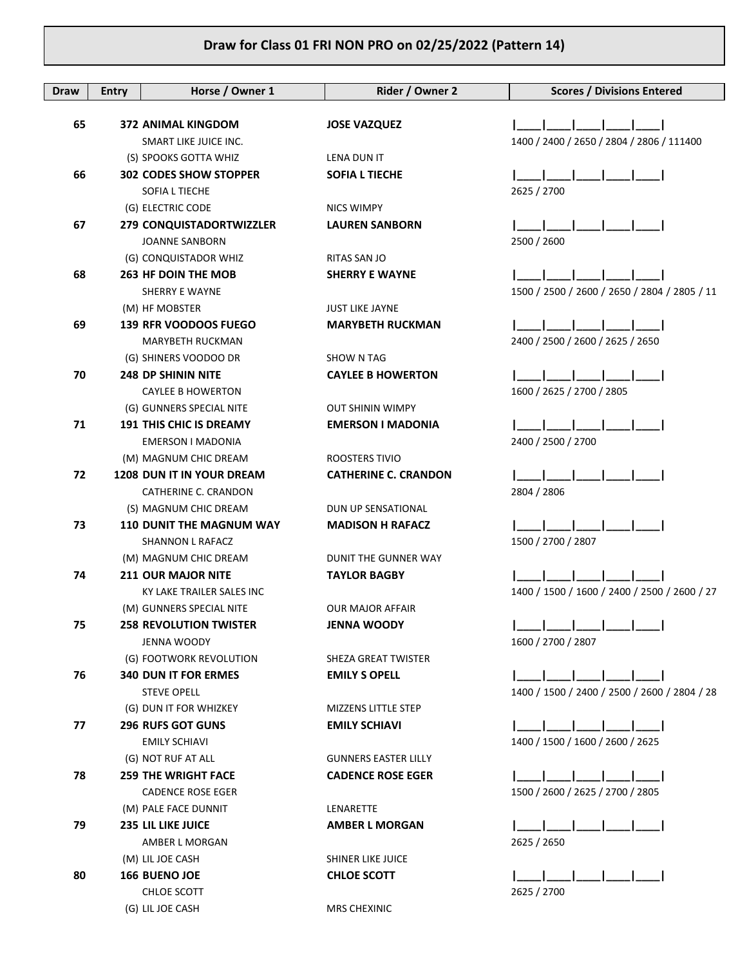| <b>Draw</b> | <b>Entry</b> | Horse / Owner 1                                    | Rider / Owner 2                             | <b>Scores / Divisions Entered</b>            |
|-------------|--------------|----------------------------------------------------|---------------------------------------------|----------------------------------------------|
| 65          |              | <b>372 ANIMAL KINGDOM</b>                          |                                             |                                              |
|             |              | SMART LIKE JUICE INC.                              | <b>JOSE VAZQUEZ</b>                         | 1400 / 2400 / 2650 / 2804 / 2806 / 111400    |
|             |              | (S) SPOOKS GOTTA WHIZ                              | LENA DUN IT                                 |                                              |
| 66          |              | <b>302 CODES SHOW STOPPER</b>                      | <b>SOFIA L TIECHE</b>                       |                                              |
|             |              | SOFIA L TIECHE                                     |                                             | 2625 / 2700                                  |
|             |              | (G) ELECTRIC CODE                                  | NICS WIMPY                                  |                                              |
| 67          |              | 279 CONQUISTADORTWIZZLER                           | <b>LAUREN SANBORN</b>                       |                                              |
|             |              | <b>JOANNE SANBORN</b>                              |                                             | 2500 / 2600                                  |
|             |              | (G) CONQUISTADOR WHIZ                              | RITAS SAN JO                                |                                              |
| 68          |              | <b>263 HF DOIN THE MOB</b>                         | <b>SHERRY E WAYNE</b>                       |                                              |
|             |              | SHERRY E WAYNE                                     |                                             | 1500 / 2500 / 2600 / 2650 / 2804 / 2805 / 11 |
|             |              | (M) HF MOBSTER                                     | <b>JUST LIKE JAYNE</b>                      |                                              |
| 69          |              | <b>139 RFR VOODOOS FUEGO</b>                       | <b>MARYBETH RUCKMAN</b>                     |                                              |
|             |              | MARYBETH RUCKMAN                                   |                                             | 2400 / 2500 / 2600 / 2625 / 2650             |
|             |              | (G) SHINERS VOODOO DR                              | SHOW N TAG                                  |                                              |
| 70          |              | <b>248 DP SHININ NITE</b>                          | <b>CAYLEE B HOWERTON</b>                    |                                              |
|             |              | <b>CAYLEE B HOWERTON</b>                           |                                             | 1600 / 2625 / 2700 / 2805                    |
|             |              | (G) GUNNERS SPECIAL NITE                           | <b>OUT SHININ WIMPY</b>                     |                                              |
| 71          |              | <b>191 THIS CHIC IS DREAMY</b>                     | <b>EMERSON I MADONIA</b>                    |                                              |
|             |              | EMERSON I MADONIA                                  |                                             | 2400 / 2500 / 2700                           |
|             |              | (M) MAGNUM CHIC DREAM                              | ROOSTERS TIVIO                              |                                              |
| 72          |              | <b>1208 DUN IT IN YOUR DREAM</b>                   | <b>CATHERINE C. CRANDON</b>                 |                                              |
|             |              | CATHERINE C. CRANDON                               |                                             | 2804 / 2806                                  |
|             |              | (S) MAGNUM CHIC DREAM                              | DUN UP SENSATIONAL                          |                                              |
| 73          |              | <b>110 DUNIT THE MAGNUM WAY</b>                    | <b>MADISON H RAFACZ</b>                     |                                              |
|             |              | SHANNON L RAFACZ                                   |                                             | 1500 / 2700 / 2807                           |
| 74          |              | (M) MAGNUM CHIC DREAM<br><b>211 OUR MAJOR NITE</b> | DUNIT THE GUNNER WAY<br><b>TAYLOR BAGBY</b> |                                              |
|             |              | KY LAKE TRAILER SALES INC                          |                                             | 1400 / 1500 / 1600 / 2400 / 2500 / 2600 / 27 |
|             |              | (M) GUNNERS SPECIAL NITE                           | <b>OUR MAJOR AFFAIR</b>                     |                                              |
| 75          |              | <b>258 REVOLUTION TWISTER</b>                      | JENNA WOODY                                 |                                              |
|             |              | <b>JENNA WOODY</b>                                 |                                             | 1600 / 2700 / 2807                           |
|             |              | (G) FOOTWORK REVOLUTION                            | SHEZA GREAT TWISTER                         |                                              |
| 76          |              | <b>340 DUN IT FOR ERMES</b>                        | <b>EMILY S OPELL</b>                        |                                              |
|             |              | <b>STEVE OPELL</b>                                 |                                             | 1400 / 1500 / 2400 / 2500 / 2600 / 2804 / 28 |
|             |              | (G) DUN IT FOR WHIZKEY                             | MIZZENS LITTLE STEP                         |                                              |
| 77          |              | <b>296 RUFS GOT GUNS</b>                           | <b>EMILY SCHIAVI</b>                        |                                              |
|             |              | <b>EMILY SCHIAVI</b>                               |                                             | 1400 / 1500 / 1600 / 2600 / 2625             |
|             |              | (G) NOT RUF AT ALL                                 | <b>GUNNERS EASTER LILLY</b>                 |                                              |
| 78          |              | <b>259 THE WRIGHT FACE</b>                         | <b>CADENCE ROSE EGER</b>                    |                                              |
|             |              | <b>CADENCE ROSE EGER</b>                           |                                             | 1500 / 2600 / 2625 / 2700 / 2805             |
|             |              | (M) PALE FACE DUNNIT                               | LENARETTE                                   |                                              |
| 79          |              | <b>235 LIL LIKE JUICE</b>                          | <b>AMBER L MORGAN</b>                       |                                              |
|             |              | AMBER L MORGAN                                     |                                             | 2625 / 2650                                  |
|             |              | (M) LIL JOE CASH                                   | <b>SHINER LIKE JUICE</b>                    |                                              |
| 80          |              | <b>166 BUENO JOE</b>                               | <b>CHLOE SCOTT</b>                          |                                              |
|             |              | CHLOE SCOTT                                        |                                             | 2625 / 2700                                  |
|             |              | (G) LIL JOE CASH                                   | <b>MRS CHEXINIC</b>                         |                                              |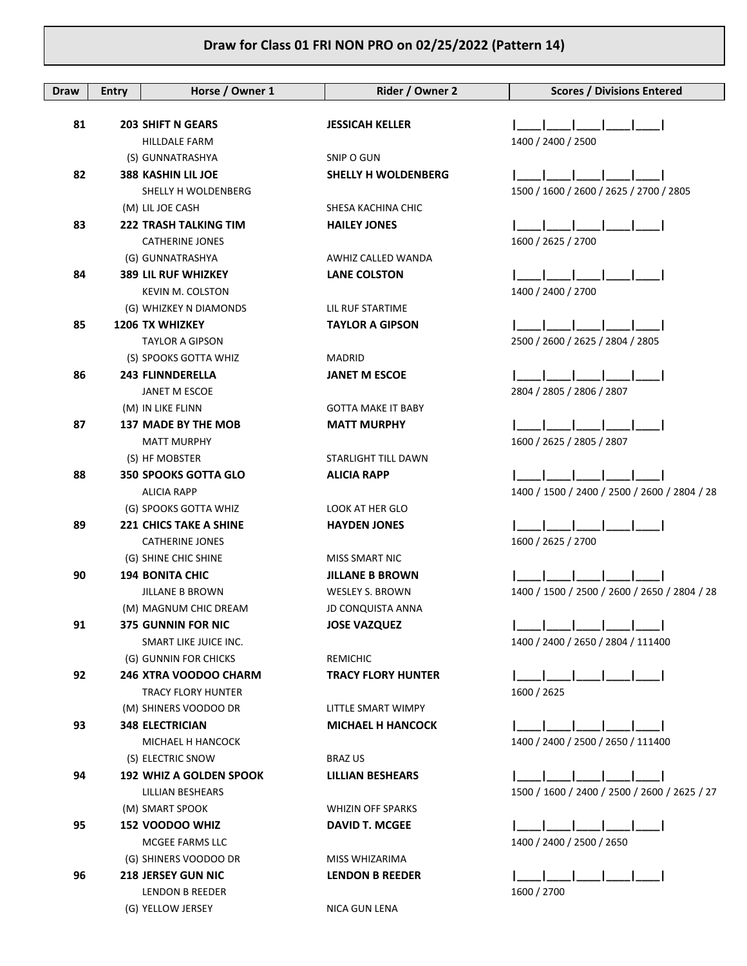| Draw | <b>Entry</b> | Horse / Owner 1                                  | Rider / Owner 2                | <b>Scores / Divisions Entered</b>            |
|------|--------------|--------------------------------------------------|--------------------------------|----------------------------------------------|
|      |              |                                                  |                                |                                              |
| 81   |              | <b>203 SHIFT N GEARS</b>                         | <b>JESSICAH KELLER</b>         |                                              |
|      |              | <b>HILLDALE FARM</b>                             |                                | 1400 / 2400 / 2500                           |
|      |              | (S) GUNNATRASHYA                                 | SNIP O GUN                     |                                              |
| 82   |              | <b>388 KASHIN LIL JOE</b>                        | <b>SHELLY H WOLDENBERG</b>     |                                              |
|      |              | SHELLY H WOLDENBERG                              |                                | 1500 / 1600 / 2600 / 2625 / 2700 / 2805      |
|      |              | (M) LIL JOE CASH                                 | SHESA KACHINA CHIC             |                                              |
| 83   |              | <b>222 TRASH TALKING TIM</b>                     | <b>HAILEY JONES</b>            |                                              |
|      |              | <b>CATHERINE JONES</b>                           |                                | 1600 / 2625 / 2700                           |
|      |              | (G) GUNNATRASHYA                                 | AWHIZ CALLED WANDA             |                                              |
| 84   |              | <b>389 LIL RUF WHIZKEY</b>                       | <b>LANE COLSTON</b>            |                                              |
|      |              | <b>KEVIN M. COLSTON</b>                          |                                | 1400 / 2400 / 2700                           |
|      |              | (G) WHIZKEY N DIAMONDS                           | LIL RUF STARTIME               |                                              |
| 85   |              | <b>1206 TX WHIZKEY</b>                           | <b>TAYLOR A GIPSON</b>         |                                              |
|      |              | <b>TAYLOR A GIPSON</b>                           |                                | 2500 / 2600 / 2625 / 2804 / 2805             |
| 86   |              | (S) SPOOKS GOTTA WHIZ<br><b>243 FLINNDERELLA</b> | MADRID<br><b>JANET M ESCOE</b> |                                              |
|      |              | JANET M ESCOE                                    |                                | 2804 / 2805 / 2806 / 2807                    |
|      |              | (M) IN LIKE FLINN                                | <b>GOTTA MAKE IT BABY</b>      |                                              |
| 87   |              | <b>137 MADE BY THE MOB</b>                       | <b>MATT MURPHY</b>             |                                              |
|      |              | <b>MATT MURPHY</b>                               |                                | 1600 / 2625 / 2805 / 2807                    |
|      |              | (S) HF MOBSTER                                   | STARLIGHT TILL DAWN            |                                              |
| 88   |              | <b>350 SPOOKS GOTTA GLO</b>                      | <b>ALICIA RAPP</b>             |                                              |
|      |              | <b>ALICIA RAPP</b>                               |                                | 1400 / 1500 / 2400 / 2500 / 2600 / 2804 / 28 |
|      |              | (G) SPOOKS GOTTA WHIZ                            | LOOK AT HER GLO                |                                              |
| 89   |              | <b>221 CHICS TAKE A SHINE</b>                    | <b>HAYDEN JONES</b>            |                                              |
|      |              | CATHERINE JONES                                  |                                | 1600 / 2625 / 2700                           |
|      |              | (G) SHINE CHIC SHINE                             | <b>MISS SMART NIC</b>          |                                              |
| 90   |              | <b>194 BONITA CHIC</b>                           | <b>JILLANE B BROWN</b>         |                                              |
|      |              | <b>JILLANE B BROWN</b>                           | <b>WESLEY S. BROWN</b>         | 1400 / 1500 / 2500 / 2600 / 2650 / 2804 / 28 |
|      |              | (M) MAGNUM CHIC DREAM                            | <b>JD CONQUISTA ANNA</b>       |                                              |
| 91   |              | <b>375 GUNNIN FOR NIC</b>                        | <b>JOSE VAZQUEZ</b>            |                                              |
|      |              | SMART LIKE JUICE INC.                            |                                | 1400 / 2400 / 2650 / 2804 / 111400           |
|      |              | (G) GUNNIN FOR CHICKS                            | REMICHIC                       |                                              |
| 92   |              | 246 XTRA VOODOO CHARM                            | <b>TRACY FLORY HUNTER</b>      |                                              |
|      |              | <b>TRACY FLORY HUNTER</b>                        |                                | 1600 / 2625                                  |
|      |              | (M) SHINERS VOODOO DR                            | LITTLE SMART WIMPY             |                                              |
| 93   |              | <b>348 ELECTRICIAN</b><br>MICHAEL H HANCOCK      | <b>MICHAEL H HANCOCK</b>       | 1400 / 2400 / 2500 / 2650 / 111400           |
|      |              | (S) ELECTRIC SNOW                                | <b>BRAZ US</b>                 |                                              |
| 94   |              | <b>192 WHIZ A GOLDEN SPOOK</b>                   | LILLIAN BESHEARS               |                                              |
|      |              | LILLIAN BESHEARS                                 |                                | 1500 / 1600 / 2400 / 2500 / 2600 / 2625 / 27 |
|      |              | (M) SMART SPOOK                                  | WHIZIN OFF SPARKS              |                                              |
| 95   |              | 152 VOODOO WHIZ                                  | <b>DAVID T. MCGEE</b>          |                                              |
|      |              | MCGEE FARMS LLC                                  |                                | 1400 / 2400 / 2500 / 2650                    |
|      |              | (G) SHINERS VOODOO DR                            | MISS WHIZARIMA                 |                                              |
| 96   |              | <b>218 JERSEY GUN NIC</b>                        | <b>LENDON B REEDER</b>         |                                              |
|      |              | LENDON B REEDER                                  |                                | 1600 / 2700                                  |
|      |              | (G) YELLOW JERSEY                                | NICA GUN LENA                  |                                              |